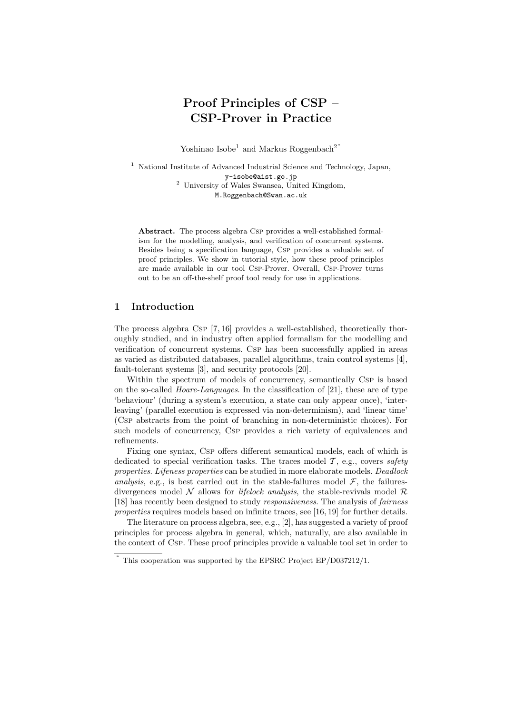# Proof Principles of CSP – CSP-Prover in Practice

Yoshinao Isobe<sup>1</sup> and Markus Roggenbach<sup>2\*</sup>

<sup>1</sup> National Institute of Advanced Industrial Science and Technology, Japan, y-isobe@aist.go.jp <sup>2</sup> University of Wales Swansea, United Kingdom, M.Roggenbach@Swan.ac.uk

Abstract. The process algebra Csp provides a well-established formalism for the modelling, analysis, and verification of concurrent systems. Besides being a specification language, Csp provides a valuable set of proof principles. We show in tutorial style, how these proof principles are made available in our tool Csp-Prover. Overall, Csp-Prover turns out to be an off-the-shelf proof tool ready for use in applications.

## 1 Introduction

The process algebra Csp [7, 16] provides a well-established, theoretically thoroughly studied, and in industry often applied formalism for the modelling and verification of concurrent systems. Csp has been successfully applied in areas as varied as distributed databases, parallel algorithms, train control systems [4], fault-tolerant systems [3], and security protocols [20].

Within the spectrum of models of concurrency, semantically Csp is based on the so-called *Hoare-Languages*. In the classification of  $[21]$ , these are of type 'behaviour' (during a system's execution, a state can only appear once), 'interleaving' (parallel execution is expressed via non-determinism), and 'linear time' (Csp abstracts from the point of branching in non-deterministic choices). For such models of concurrency, Csp provides a rich variety of equivalences and refinements.

Fixing one syntax, Csp offers different semantical models, each of which is dedicated to special verification tasks. The traces model  $\mathcal{T}$ , e.g., covers safety properties. Lifeness properties can be studied in more elaborate models. Deadlock analysis, e.g., is best carried out in the stable-failures model  $\mathcal{F}$ , the failuresdivergences model N allows for *lifelock analysis*, the stable-revivals model  $\mathcal{R}$ [18] has recently been designed to study responsiveness. The analysis of fairness properties requires models based on infinite traces, see [16, 19] for further details.

The literature on process algebra, see, e.g., [2], has suggested a variety of proof principles for process algebra in general, which, naturally, are also available in the context of Csp. These proof principles provide a valuable tool set in order to

<sup>∗</sup> This cooperation was supported by the EPSRC Project EP/D037212/1.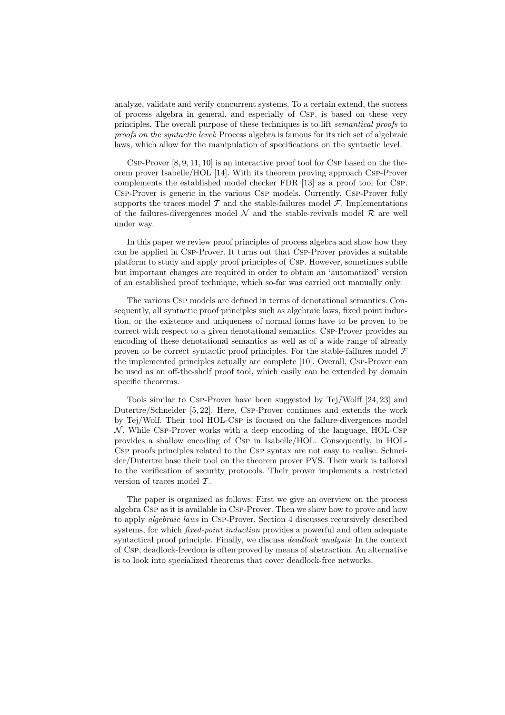analyze, validate and verify concurrent systems. To a certain extend, the success of process algebra in general, and especially of Csp, is based on these very principles. The overall purpose of these techniques is to lift semantical proofs to proofs on the syntactic level: Process algebra is famous for its rich set of algebraic laws, which allow for the manipulation of specifications on the syntactic level.

CSP-Prover  $[8, 9, 11, 10]$  is an interactive proof tool for CSP based on the theorem prover Isabelle/HOL [14]. With its theorem proving approach Csp-Prover complements the established model checker FDR [13] as a proof tool for Csp. Csp-Prover is generic in the various Csp models. Currently, Csp-Prover fully supports the traces model  $\mathcal T$  and the stable-failures model  $\mathcal F$ . Implementations of the failures-divergences model  $\mathcal N$  and the stable-revivals model  $\mathcal R$  are well under way.

In this paper we review proof principles of process algebra and show how they can be applied in Csp-Prover. It turns out that Csp-Prover provides a suitable platform to study and apply proof principles of Csp. However, sometimes subtle but important changes are required in order to obtain an 'automatized' version of an established proof technique, which so-far was carried out manually only.

The various Csp models are defined in terms of denotational semantics. Consequently, all syntactic proof principles such as algebraic laws, fixed point induction, or the existence and uniqueness of normal forms have to be proven to be correct with respect to a given denotational semantics. Csp-Prover provides an encoding of these denotational semantics as well as of a wide range of already proven to be correct syntactic proof principles. For the stable-failures model  $\mathcal F$ the implemented principles actually are complete [10]. Overall, Csp-Prover can be used as an off-the-shelf proof tool, which easily can be extended by domain specific theorems.

Tools similar to Csp-Prover have been suggested by Tej/Wolff [24, 23] and Dutertre/Schneider [5, 22]. Here, Csp-Prover continues and extends the work by Tej/Wolf. Their tool HOL-Csp is focused on the failure-divergences model  $\mathcal N$ . While Csp-Prover works with a deep encoding of the language, HOL-Csp provides a shallow encoding of Csp in Isabelle/HOL. Consequently, in HOL-Csp proofs principles related to the Csp syntax are not easy to realise. Schneider/Dutertre base their tool on the theorem prover PVS. Their work is tailored to the verification of security protocols. Their prover implements a restricted version of traces model  $T$ .

The paper is organized as follows: First we give an overview on the process algebra Csp as it is available in Csp-Prover. Then we show how to prove and how to apply algebraic laws in Csp-Prover. Section 4 discusses recursively described systems, for which *fixed-point induction* provides a powerful and often adequate syntactical proof principle. Finally, we discuss *deadlock analysis*: In the context of Csp, deadlock-freedom is often proved by means of abstraction. An alternative is to look into specialized theorems that cover deadlock-free networks.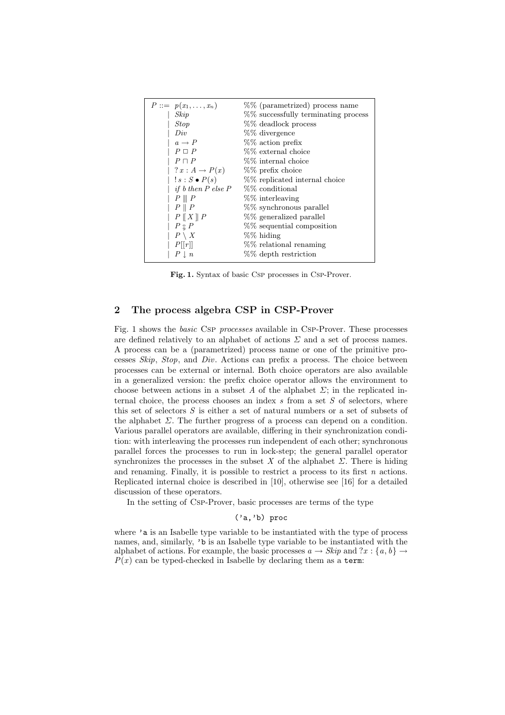| $P ::= p(x_1, \ldots, x_n)$     | %% (parametrized) process name      |
|---------------------------------|-------------------------------------|
| Skip                            | %% successfully terminating process |
| <b>Stop</b>                     | %% deadlock process                 |
| Div                             | %% divergence                       |
| $a \rightarrow P$               | $%$ action prefix                   |
| $P \square P$                   | %% external choice                  |
| $P \sqcap P$                    | %% internal choice                  |
| $?x:A\rightarrow P(x)$          | %% prefix choice                    |
| $!s: S \bullet P(s)$            | %% replicated internal choice       |
| <i>if</i> $b$ then $P$ else $P$ | %% conditional                      |
| $P \parallel P$                 | %% interleaving                     |
| $P \parallel P$                 | %% synchronous parallel             |
| $P \parallel X \parallel P$     | %% generalized parallel             |
| $P \overset{\circ}{\circ} P$    | %% sequential composition           |
| $P \setminus X$                 | %% hiding                           |
| P[ r ]                          | %% relational renaming              |
| $P \perp n$                     | %% depth restriction                |

Fig. 1. Syntax of basic Csp processes in Csp-Prover.

## 2 The process algebra CSP in CSP-Prover

Fig. 1 shows the basic Csp processes available in Csp-Prover. These processes are defined relatively to an alphabet of actions  $\Sigma$  and a set of process names. A process can be a (parametrized) process name or one of the primitive processes Skip, Stop, and Div. Actions can prefix a process. The choice between processes can be external or internal. Both choice operators are also available in a generalized version: the prefix choice operator allows the environment to choose between actions in a subset A of the alphabet  $\Sigma$ ; in the replicated internal choice, the process chooses an index  $s$  from a set  $S$  of selectors, where this set of selectors S is either a set of natural numbers or a set of subsets of the alphabet  $\Sigma$ . The further progress of a process can depend on a condition. Various parallel operators are available, differing in their synchronization condition: with interleaving the processes run independent of each other; synchronous parallel forces the processes to run in lock-step; the general parallel operator synchronizes the processes in the subset X of the alphabet  $\Sigma$ . There is hiding and renaming. Finally, it is possible to restrict a process to its first  $n$  actions. Replicated internal choice is described in [10], otherwise see [16] for a detailed discussion of these operators.

In the setting of Csp-Prover, basic processes are terms of the type

# ('a,'b) proc

where 'a is an Isabelle type variable to be instantiated with the type of process names, and, similarly, 'b is an Isabelle type variable to be instantiated with the alphabet of actions. For example, the basic processes  $a \rightarrow Skip$  and  $?x : \{a, b\} \rightarrow$  $P(x)$  can be typed-checked in Isabelle by declaring them as a term: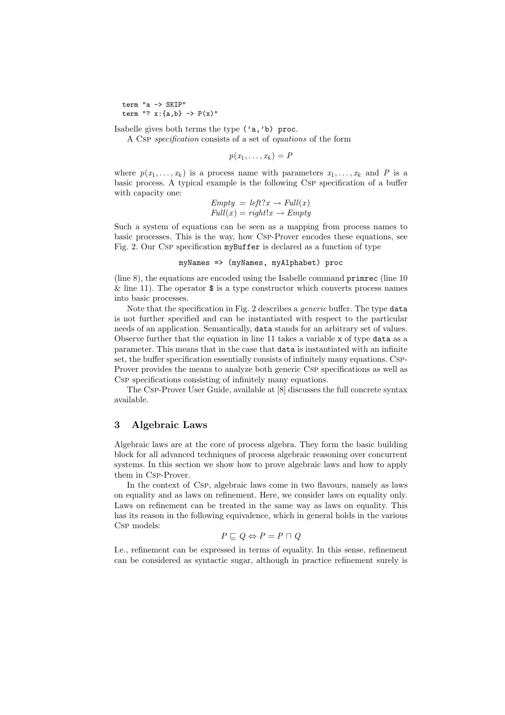term "a -> SKIP" term "?  $x: {a, b} \rightarrow P(x)$ "

Isabelle gives both terms the type ('a,'b) proc.

A Csp specification consists of a set of equations of the form

 $p(x_1,\ldots,x_k)=P$ 

where  $p(x_1, \ldots, x_k)$  is a process name with parameters  $x_1, \ldots, x_k$  and P is a basic process. A typical example is the following Csp specification of a buffer with capacity one:

> $Empty = left?x \rightarrow Full(x)$  $Full(x) = right!x \rightarrow Empty$

Such a system of equations can be seen as a mapping from process names to basic processes. This is the way, how Csp-Prover encodes these equations, see Fig. 2. Our Csp specification myBuffer is declared as a function of type

myNames => (myNames, myAlphabet) proc

(line 8), the equations are encoded using the Isabelle command primrec (line 10  $\&$  line 11). The operator  $\$$  is a type constructor which converts process names into basic processes.

Note that the specification in Fig. 2 describes a generic buffer. The type data is not further specified and can be instantiated with respect to the particular needs of an application. Semantically, data stands for an arbitrary set of values. Observe further that the equation in line 11 takes a variable x of type data as a parameter. This means that in the case that data is instantiated with an infinite set, the buffer specification essentially consists of infinitely many equations. Csp-Prover provides the means to analyze both generic Csp specifications as well as Csp specifications consisting of infinitely many equations.

The Csp-Prover User Guide, available at [8] discusses the full concrete syntax available.

## 3 Algebraic Laws

Algebraic laws are at the core of process algebra. They form the basic building block for all advanced techniques of process algebraic reasoning over concurrent systems. In this section we show how to prove algebraic laws and how to apply them in Csp-Prover.

In the context of Csp, algebraic laws come in two flavours, namely as laws on equality and as laws on refinement. Here, we consider laws on equality only. Laws on refinement can be treated in the same way as laws on equality. This has its reason in the following equivalence, which in general holds in the various Csp models:

$$
P \sqsubseteq Q \Leftrightarrow P = P \sqcap Q
$$

I.e., refinement can be expressed in terms of equality. In this sense, refinement can be considered as syntactic sugar, although in practice refinement surely is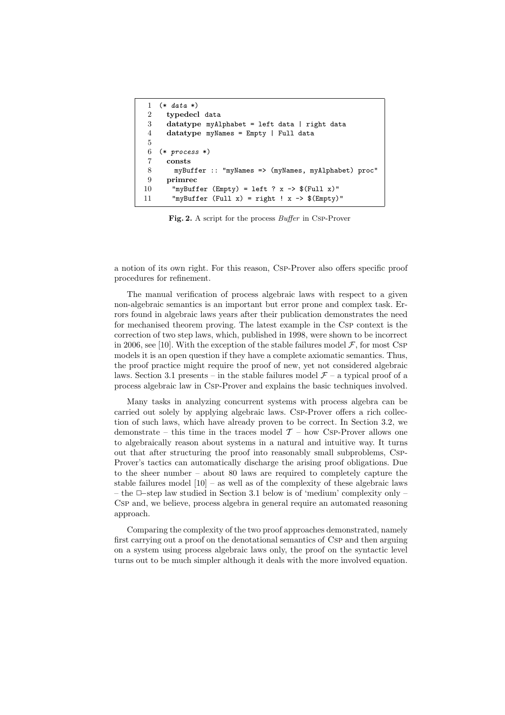```
1 (* data *)
2 typedecl data
3 datatype myAlphabet = left data | right data
 4 datatype myNames = Empty | Full data
5
6 (* process *)
7 consts
8 myBuffer :: "myNames => (myNames, myAlphabet) proc"
9 primrec
10 "myBuffer (Empty) = left ? x -> f(\text{Full } x)"
11 "myBuffer (Full x) = right ! x \rightarrow $(Empty)"
```
Fig. 2. A script for the process *Buffer* in Csp-Prover

a notion of its own right. For this reason, Csp-Prover also offers specific proof procedures for refinement.

The manual verification of process algebraic laws with respect to a given non-algebraic semantics is an important but error prone and complex task. Errors found in algebraic laws years after their publication demonstrates the need for mechanised theorem proving. The latest example in the Csp context is the correction of two step laws, which, published in 1998, were shown to be incorrect in 2006, see [10]. With the exception of the stable failures model  $\mathcal{F}$ , for most CSP models it is an open question if they have a complete axiomatic semantics. Thus, the proof practice might require the proof of new, yet not considered algebraic laws. Section 3.1 presents – in the stable failures model  $\mathcal{F}$  – a typical proof of a process algebraic law in Csp-Prover and explains the basic techniques involved.

Many tasks in analyzing concurrent systems with process algebra can be carried out solely by applying algebraic laws. Csp-Prover offers a rich collection of such laws, which have already proven to be correct. In Section 3.2, we demonstrate – this time in the traces model  $\mathcal{T}$  – how CsP-Prover allows one to algebraically reason about systems in a natural and intuitive way. It turns out that after structuring the proof into reasonably small subproblems, Csp-Prover's tactics can automatically discharge the arising proof obligations. Due to the sheer number – about 80 laws are required to completely capture the stable failures model  $[10]$  – as well as of the complexity of these algebraic laws – the ✷−step law studied in Section 3.1 below is of 'medium' complexity only – Csp and, we believe, process algebra in general require an automated reasoning approach.

Comparing the complexity of the two proof approaches demonstrated, namely first carrying out a proof on the denotational semantics of Csp and then arguing on a system using process algebraic laws only, the proof on the syntactic level turns out to be much simpler although it deals with the more involved equation.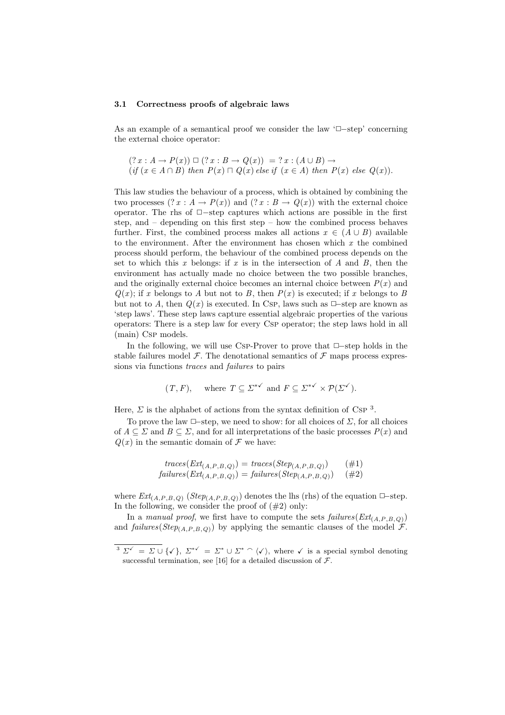#### 3.1 Correctness proofs of algebraic laws

As an example of a semantical proof we consider the law  $\Box$ –step' concerning the external choice operator:

$$
(? x : A \rightarrow P(x)) \square (? x : B \rightarrow Q(x)) = ? x : (A \cup B) \rightarrow
$$
  
(if  $(x \in A \cap B)$  then  $P(x) \cap Q(x)$  else if  $(x \in A)$  then  $P(x)$  else  $Q(x)$ ).

This law studies the behaviour of a process, which is obtained by combining the two processes  $(T x : A \to P(x))$  and  $(T x : B \to Q(x))$  with the external choice operator. The rhs of ✷−step captures which actions are possible in the first step, and – depending on this first step – how the combined process behaves further. First, the combined process makes all actions  $x \in (A \cup B)$  available to the environment. After the environment has chosen which  $x$  the combined process should perform, the behaviour of the combined process depends on the set to which this x belongs: if x is in the intersection of A and B, then the environment has actually made no choice between the two possible branches, and the originally external choice becomes an internal choice between  $P(x)$  and  $Q(x)$ ; if x belongs to A but not to B, then  $P(x)$  is executed; if x belongs to B but not to A, then  $Q(x)$  is executed. In Csp, laws such as  $\Box$ -step are known as 'step laws'. These step laws capture essential algebraic properties of the various operators: There is a step law for every Csp operator; the step laws hold in all (main) Csp models.

In the following, we will use Csp-Prover to prove that  $\Box$ -step holds in the stable failures model  $\mathcal F$ . The denotational semantics of  $\mathcal F$  maps process expressions via functions traces and failures to pairs

$$
(T, F)
$$
, where  $T \subseteq \Sigma^{*\checkmark}$  and  $F \subseteq \Sigma^{*\checkmark} \times \mathcal{P}(\Sigma^{\checkmark})$ .

Here,  $\Sigma$  is the alphabet of actions from the syntax definition of Csp<sup>3</sup>.

To prove the law  $\Box$ -step, we need to show: for all choices of  $\Sigma$ , for all choices of  $A \subseteq \Sigma$  and  $B \subseteq \Sigma$ , and for all interpretations of the basic processes  $P(x)$  and  $Q(x)$  in the semantic domain of  $\mathcal F$  we have:

$$
traces(Ext_{(A,P,B,Q)}) = traces(Step_{(A,P,B,Q)}) \qquad (\#1)
$$
  
\n
$$
failures(Ext_{(A,P,B,Q)}) = failures(Step_{(A,P,B,Q)}) \qquad (\#2)
$$

where  $Ext_{(A,P,B,Q)}$  ( $Step_{(A,P,B,Q)}$ ) denotes the lhs (rhs) of the equation  $\Box$ -step. In the following, we consider the proof of  $(\#2)$  only:

In a manual proof, we first have to compute the sets  $failures(Ext_{(A,P,B,O)})$ and failures(Step<sub>(A,P,B,Q)</sub>) by applying the semantic clauses of the model  $\mathcal{F}$ .

 $\overline{3 \Sigma^{\checkmark}} = \Sigma \cup \{\checkmark\}, \Sigma^{*\checkmark} = \Sigma^* \cup \Sigma^* \cap \langle \checkmark \rangle, \text{ where } \checkmark \text{ is a special symbol denoting }$ successful termination, see [16] for a detailed discussion of  $\mathcal{F}$ .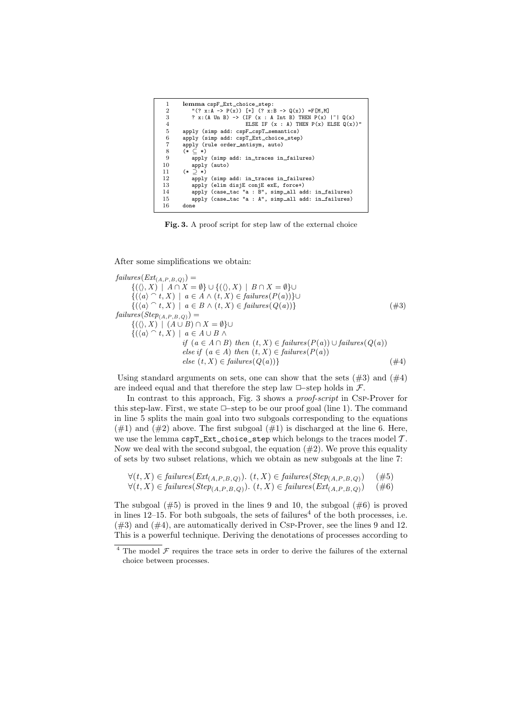| 1              | lemma cspF_Ext_choice_step:                                          |
|----------------|----------------------------------------------------------------------|
| $\overline{2}$ | " $(? x:A \rightarrow P(x))$ [+] $(? x:B \rightarrow Q(x)) = F[M,M]$ |
| 3              | ? x: (A Un B) -> (IF $(x : A Int B)$ THEN $P(x)  ^x   Q(x)$          |
| $\overline{4}$ | ELSE IF $(x : A)$ THEN $P(x)$ ELSE $Q(x)$ )"                         |
| 5              | apply (simp add: cspF_cspT_semantics)                                |
| 6              | apply (simp add: cspT_Ext_choice_step)                               |
| 7              | apply (rule order_antisym, auto)                                     |
| 8              | $(* \subset *)$                                                      |
| 9              | apply (simp add: in_traces in_failures)                              |
| 10             | apply (auto)                                                         |
| 11             | $(*)$ $(*)$                                                          |
| 12             | apply (simp add: in_traces in_failures)                              |
| 13             | apply (elim disjE conjE exE, force+)                                 |
| 14             | apply (case_tac "a : B", simp_all add: in_failures)                  |
| 15             | apply (case_tac "a : A", simp_all add: in_failures)                  |
| 16             | done                                                                 |

Fig. 3. A proof script for step law of the external choice

After some simplifications we obtain:

 $failures(Ext_{(A,P,B,Q)}) =$  $\{(\langle \rangle, X) \mid A \cap X = \emptyset\} \cup \{(\langle \rangle, X) \mid B \cap X = \emptyset\} \cup$  ${((a) \cap t, X) \mid a \in A \land (t, X) \in failures(P(a))}$ ∪  $\{(\langle a\rangle\ \widehat{\ }\ t, X)\ |\ a\in B\ \wedge\ (t, X)\in failures(Q(a))\} \tag{ \#3}$  $failures(Step_{(A,P,B,Q)}) =$  ${((\langle), X) | (A \cup B) \cap X = \emptyset}$  $\{(\langle a \rangle \cap t, X) \mid a \in A \cup B \wedge$ if  $(a \in A \cap B)$  then  $(t, X) \in failures(P(a)) \cup failures(Q(a))$ else if  $(a \in A)$  then  $(t, X) \in failures(P(a))$  $else (t, X) \in failures(Q(a))\}$  (#4)

Using standard arguments on sets, one can show that the sets  $(\#3)$  and  $(\#4)$ are indeed equal and that therefore the step law  $\Box$ -step holds in  $\mathcal{F}$ .

In contrast to this approach, Fig. 3 shows a *proof-script* in Csp-Prover for this step-law. First, we state □–step to be our proof goal (line 1). The command in line 5 splits the main goal into two subgoals corresponding to the equations  $(\#1)$  and  $(\#2)$  above. The first subgoal  $(\#1)$  is discharged at the line 6. Here, we use the lemma  $\texttt{cspT\_Ext\_choice\_step}$  which belongs to the traces model  $\mathcal T$ . Now we deal with the second subgoal, the equation  $(\#2)$ . We prove this equality of sets by two subset relations, which we obtain as new subgoals at the line 7:

$$
\forall (t, X) \in failures(Ext_{(A, P, B, Q)}). (t, X) \in failures(Step_{(A, P, B, Q)}) \quad (\#5)
$$
  

$$
\forall (t, X) \in failures(Step_{(A, P, B, Q)}). (t, X) \in failures(Ext_{(A, P, B, Q)}) \quad (\#6)
$$

The subgoal  $(\#5)$  is proved in the lines 9 and 10, the subgoal  $(\#6)$  is proved in lines  $12-15$ . For both subgoals, the sets of failures<sup>4</sup> of the both processes, i.e.  $(\#3)$  and  $(\#4)$ , are automatically derived in Csp-Prover, see the lines 9 and 12. This is a powerful technique. Deriving the denotations of processes according to

 $4$  The model  $\mathcal F$  requires the trace sets in order to derive the failures of the external choice between processes.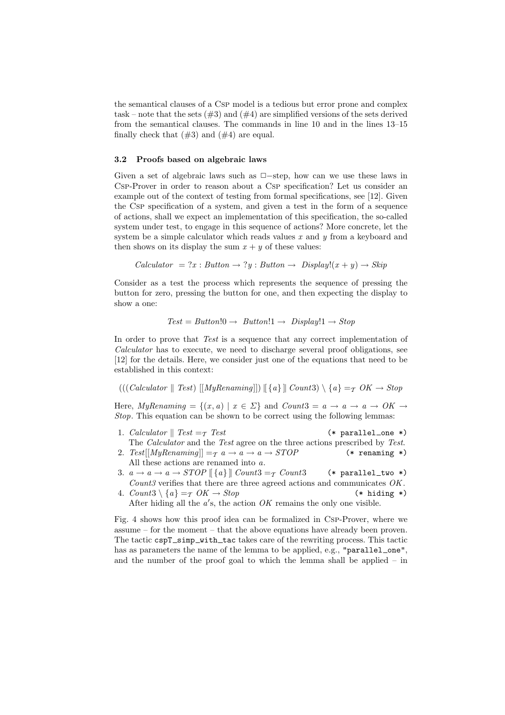the semantical clauses of a Csp model is a tedious but error prone and complex task – note that the sets  $(\#3)$  and  $(\#4)$  are simplified versions of the sets derived from the semantical clauses. The commands in line 10 and in the lines 13–15 finally check that  $(\#3)$  and  $(\#4)$  are equal.

#### 3.2 Proofs based on algebraic laws

Given a set of algebraic laws such as  $\Box$ -step, how can we use these laws in Csp-Prover in order to reason about a Csp specification? Let us consider an example out of the context of testing from formal specifications, see [12]. Given the Csp specification of a system, and given a test in the form of a sequence of actions, shall we expect an implementation of this specification, the so-called system under test, to engage in this sequence of actions? More concrete, let the system be a simple calculator which reads values  $x$  and  $y$  from a keyboard and then shows on its display the sum  $x + y$  of these values:

$$
Calculator = ?x : Button \rightarrow ?y : Button \rightarrow Display!(x + y) \rightarrow Skip
$$

Consider as a test the process which represents the sequence of pressing the button for zero, pressing the button for one, and then expecting the display to show a one:

$$
Test = Button!0 \rightarrow Button!1 \rightarrow Display!1 \rightarrow Stop
$$

In order to prove that Test is a sequence that any correct implementation of Calculator has to execute, we need to discharge several proof obligations, see [12] for the details. Here, we consider just one of the equations that need to be established in this context:

 $((\text{Calculator} \parallel \text{Test}) \vert [MyRenaming]]) \vert \{a\} \vert \text{Count3}) \setminus \{a\} = \tau \text{ OK} \rightarrow \text{Stop}$ 

Here,  $MyRenaming = \{(x, a) | x \in \Sigma\}$  and  $Count3 = a \rightarrow a \rightarrow 0$   $\rightarrow$   $\rightarrow$ Stop. This equation can be shown to be correct using the following lemmas:

- 1. Calculator  $\parallel$  Test =  $\tau$  Test (\* parallel\_one \*) The Calculator and the Test agree on the three actions prescribed by Test.
- 2. Test[[MyRenaming]]  $=\tau$   $a \to a \to a \to STOP$  (\* renaming \*) All these actions are renamed into a.
- 3.  $a \rightarrow a \rightarrow sTOP \land \{a\} \lor \text{Count3} = \tau \text{ Count3}$  (\* parallel\_two \*) Count<sub>3</sub> verifies that there are three agreed actions and communicates  $OK$ .
- 4.  $Count3 \setminus \{a\} = \tau \ OK \rightarrow Stop$  (\* hiding \*)
	- After hiding all the  $a$ 's, the action  $OK$  remains the only one visible.

Fig. 4 shows how this proof idea can be formalized in Csp-Prover, where we assume – for the moment – that the above equations have already been proven. The tactic cspT\_simp\_with\_tac takes care of the rewriting process. This tactic has as parameters the name of the lemma to be applied, e.g., "parallel\_one", and the number of the proof goal to which the lemma shall be applied – in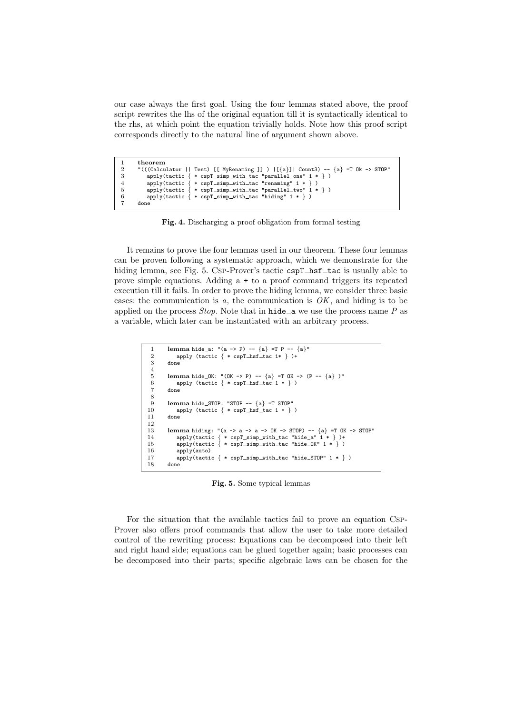our case always the first goal. Using the four lemmas stated above, the proof script rewrites the lhs of the original equation till it is syntactically identical to the rhs, at which point the equation trivially holds. Note how this proof script corresponds directly to the natural line of argument shown above.

```
1 theorem<br>
2 "(((\text{Calcu})2 "(((Calculator || Test) [[ MyRenaming ]] ) |[\{a\}]| Count3) -- \{a\} =T Ok -> STOP"<br>3 apply(tactic \{ * \text{ cspT_simp\_with\_tac "parallel\_one" 1 * })
 3 apply(tactic { * cspT_simp_with_tac "parallel_one" 1 * } )<br>4 apply(tactic { * cspT_simp_with_tac "renaming" 1 * } )<br>5 apply(tactic { * cspT_simp_with_tac "parallel_two" 1 * } )
6 apply(tactic \{ * \text{ cspT-simp\_with\_tac "hiding" 1 * } \})
          7 done
```
Fig. 4. Discharging a proof obligation from formal testing

It remains to prove the four lemmas used in our theorem. These four lemmas can be proven following a systematic approach, which we demonstrate for the hiding lemma, see Fig. 5. Csp-Prover's tactic cspT\_hsf\_tac is usually able to prove simple equations. Adding a + to a proof command triggers its repeated execution till it fails. In order to prove the hiding lemma, we consider three basic cases: the communication is  $a$ , the communication is  $OK$ , and hiding is to be applied on the process  $Stop$ . Note that in hide a we use the process name  $P$  as a variable, which later can be instantiated with an arbitrary process.

```
1 lemma hide_a: "(a -> P) -- \{a\} =T P -- \{a\}"<br>2 apply (tactic \{ * \text{ cspT hsf tac} \mid * \})+
 2 apply (tactic \{ * \text{ cspT_hsf\_tac } 1* \})+<br>3 done
           done
 \frac{4}{5}lemma hide OK: "(OK \rightarrow P) -- {a} = T OK \rightarrow (P -- {a})"
              apply (tactic \{ * \text{ cspT\_hsf\_tac } 1 * \})
           done
 \begin{array}{c} 6 \\ 7 \\ 8 \\ 9 \end{array}9 lemma hide_STOP: "STOP -- \{a\} =T STOP"<br>10 apply (tactic \{ * \text{ cspT_hsf\_tac 1 * } \}10 apply (tactic { * cspT_hsf_tac 1 * } )<br>11 done
           done
\frac{12}{13}13 lemma hiding: "(a -> a -> a -> OK -> STOP) -- {a} =T OK -> STOP"
14 apply(tactic { * cspT simp with tac "hide a" 1 * } )+
15 apply(tactic \{ * \text{ cspT} \_\text{simp} \_\text{with\_tac} \"hide\text{OK} \ 1 * \})<br>16 apply(auto)
16 apply(auto)<br>17 apply(tacti
17 apply(tactic \{ * \text{ cspT-simp\_with\_tac "hide\_STOP" 1 * } \})<br>18 done
          done
```
Fig. 5. Some typical lemmas

For the situation that the available tactics fail to prove an equation Csp-Prover also offers proof commands that allow the user to take more detailed control of the rewriting process: Equations can be decomposed into their left and right hand side; equations can be glued together again; basic processes can be decomposed into their parts; specific algebraic laws can be chosen for the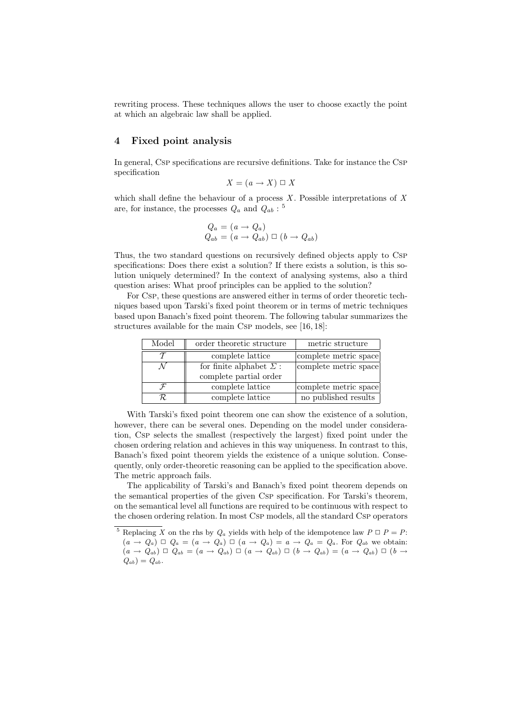rewriting process. These techniques allows the user to choose exactly the point at which an algebraic law shall be applied.

## 4 Fixed point analysis

In general, Csp specifications are recursive definitions. Take for instance the Csp specification

$$
X = (a \to X) \sqcup X
$$

which shall define the behaviour of a process  $X$ . Possible interpretations of  $X$ are, for instance, the processes  $Q_a$  and  $Q_{ab}$ : <sup>5</sup>

$$
Q_a = (a \rightarrow Q_a)
$$
  

$$
Q_{ab} = (a \rightarrow Q_{ab}) \square (b \rightarrow Q_{ab})
$$

Thus, the two standard questions on recursively defined objects apply to Csp specifications: Does there exist a solution? If there exists a solution, is this solution uniquely determined? In the context of analysing systems, also a third question arises: What proof principles can be applied to the solution?

For Csp, these questions are answered either in terms of order theoretic techniques based upon Tarski's fixed point theorem or in terms of metric techniques based upon Banach's fixed point theorem. The following tabular summarizes the structures available for the main Csp models, see [16, 18]:

| Model        | order theoretic structure      | metric structure      |
|--------------|--------------------------------|-----------------------|
|              | complete lattice               | complete metric space |
|              | for finite alphabet $\Sigma$ : | complete metric space |
|              | complete partial order         |                       |
| $\mathcal F$ | complete lattice               | complete metric space |
|              | complete lattice               | no published results  |

With Tarski's fixed point theorem one can show the existence of a solution, however, there can be several ones. Depending on the model under consideration, Csp selects the smallest (respectively the largest) fixed point under the chosen ordering relation and achieves in this way uniqueness. In contrast to this, Banach's fixed point theorem yields the existence of a unique solution. Consequently, only order-theoretic reasoning can be applied to the specification above. The metric approach fails.

The applicability of Tarski's and Banach's fixed point theorem depends on the semantical properties of the given Csp specification. For Tarski's theorem, on the semantical level all functions are required to be continuous with respect to the chosen ordering relation. In most Csp models, all the standard Csp operators

<sup>&</sup>lt;sup>5</sup> Replacing X on the rhs by  $Q_a$  yields with help of the idempotence law  $P \square P = P$ :  $(a \rightarrow Q_a) \square Q_a = (a \rightarrow Q_a) \square (a \rightarrow Q_a) = a \rightarrow Q_a = Q_a$ . For  $Q_{ab}$  we obtain:  $(a \rightarrow Q_{ab}) \square Q_{ab} = (a \rightarrow Q_{ab}) \square (a \rightarrow Q_{ab}) \square (b \rightarrow Q_{ab}) = (a \rightarrow Q_{ab}) \square (b \rightarrow$  $Q_{ab}$ ) =  $Q_{ab}$ .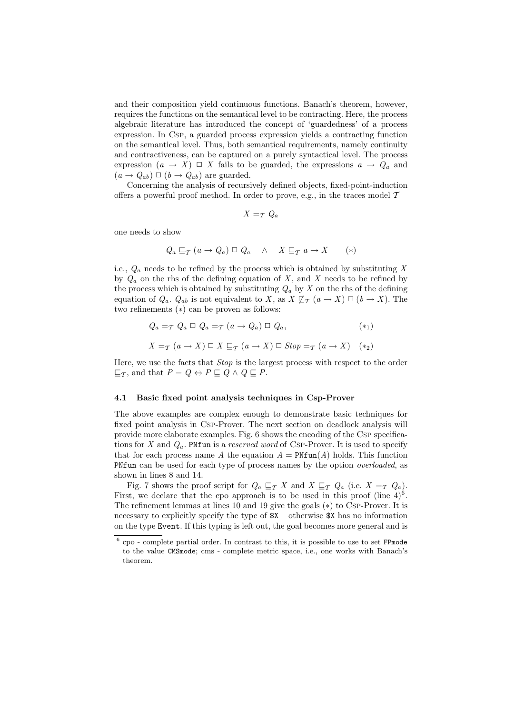and their composition yield continuous functions. Banach's theorem, however, requires the functions on the semantical level to be contracting. Here, the process algebraic literature has introduced the concept of 'guardedness' of a process expression. In Csp, a guarded process expression yields a contracting function on the semantical level. Thus, both semantical requirements, namely continuity and contractiveness, can be captured on a purely syntactical level. The process expression  $(a \rightarrow X) \square X$  fails to be guarded, the expressions  $a \rightarrow Q_a$  and  $(a \rightarrow Q_{ab}) \square (b \rightarrow Q_{ab})$  are guarded.

Concerning the analysis of recursively defined objects, fixed-point-induction offers a powerful proof method. In order to prove, e.g., in the traces model  $T$ 

$$
X =_{\mathcal{T}} Q_a
$$

one needs to show

$$
Q_a \sqsubseteq_{\mathcal{T}} (a \to Q_a) \sqcup Q_a \quad \wedge \quad X \sqsubseteq_{\mathcal{T}} a \to X \qquad (*)
$$

i.e.,  $Q_a$  needs to be refined by the process which is obtained by substituting X by  $Q_a$  on the rhs of the defining equation of X, and X needs to be refined by the process which is obtained by substituting  $Q_a$  by X on the rhs of the defining equation of  $Q_a$ .  $Q_{ab}$  is not equivalent to X, as  $X \not\sqsubseteq_{\mathcal{T}} (a \to X) \square (b \to X)$ . The two refinements (∗) can be proven as follows:

$$
Q_a =_{\mathcal{T}} Q_a \Box Q_a =_{\mathcal{T}} (a \rightarrow Q_a) \Box Q_a, \qquad (*)
$$
  

$$
X =_{\mathcal{T}} (a \rightarrow X) \Box X \sqsubseteq_{\mathcal{T}} (a \rightarrow X) \Box Stop =_{\mathcal{T}} (a \rightarrow X) \qquad (*)
$$

Here, we use the facts that Stop is the largest process with respect to the order  $\sqsubseteq_{\mathcal{T}}$ , and that  $P = Q \Leftrightarrow P \sqsubseteq Q \wedge Q \sqsubseteq P$ .

#### 4.1 Basic fixed point analysis techniques in Csp-Prover

The above examples are complex enough to demonstrate basic techniques for fixed point analysis in Csp-Prover. The next section on deadlock analysis will provide more elaborate examples. Fig. 6 shows the encoding of the Csp specifications for X and  $Q_a$ . PNfun is a reserved word of CSP-Prover. It is used to specify that for each process name A the equation  $A = \text{PNTun}(A)$  holds. This function PNfun can be used for each type of process names by the option *overloaded*, as shown in lines 8 and 14.

Fig. 7 shows the proof script for  $Q_a \sqsubseteq_{\mathcal{T}} X$  and  $X \sqsubseteq_{\mathcal{T}} Q_a$  (i.e.  $X =_{\mathcal{T}} Q_a$ ). First, we declare that the cpo approach is to be used in this proof (line  $4)^6$ . The refinement lemmas at lines 10 and 19 give the goals (∗) to Csp-Prover. It is necessary to explicitly specify the type of  $X -$  otherwise  $X$  has no information on the type Event. If this typing is left out, the goal becomes more general and is

 $6$  cpo - complete partial order. In contrast to this, it is possible to use to set FPmode to the value CMSmode; cms - complete metric space, i.e., one works with Banach's theorem.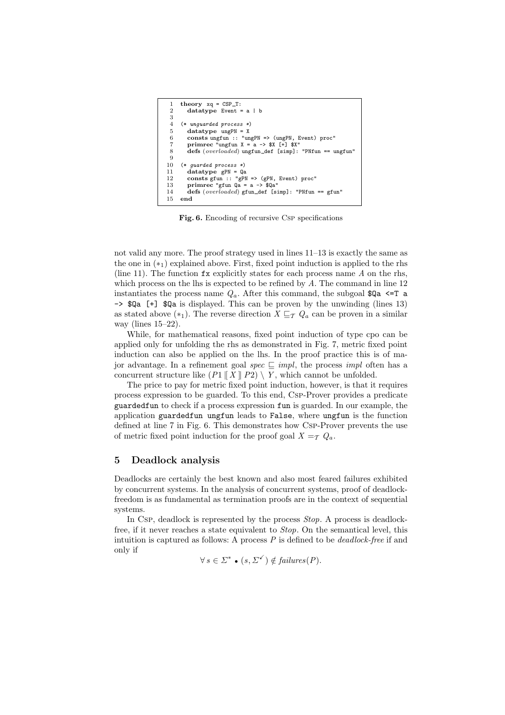```
1 theory xq = CSP_T:<br>2 datatype Event =datatype Event = a | b
 3
 4 (* unguarded process *)<br>5 datatype ungPN = X
 5 datatype ungPN = X<br>6 consts ungfun :: "un
 6 consts ungfun :: "ungPN => (ungPN, Event) proc'<br>
7 primare "ungfun X = a -5 (x) [+] (x)
           primrec "ungfun X = a \rightarrow $X [+] $X"8 defs (overloaded) ungfun def [simp]: "PNfun == ungfun"
\begin{array}{c} 9 \\ 10 \end{array}10 (* guarded process *)<br>11 datatype gPN = Qa
11 datatype gPN = Qa<br>12 consts \sigmafun :: "\sigmaPN
12 consts gfun :: "gPN => (gPN, Event) proc"<br>13 primrec "gfun \text{Qa} = \text{a} \rightarrow \text{\$Qa"13 primrec "gfun Qa = a \rightarrow \sqrt[3]{a}a"<br>14 defs (overloaded) gfun def [s
14 defs (overloaded) gfun def [simp]: "PNfun == gfun"
       end
```
Fig. 6. Encoding of recursive Csp specifications

not valid any more. The proof strategy used in lines 11–13 is exactly the same as the one in  $(*_1)$  explained above. First, fixed point induction is applied to the rhs (line 11). The function  $f$ x explicitly states for each process name  $A$  on the rhs, which process on the lhs is expected to be refined by  $A$ . The command in line 12 instantiates the process name  $Q_a$ . After this command, the subgoal  $Q_a \leq T_a$ -> \$Qa [+] \$Qa is displayed. This can be proven by the unwinding (lines 13) as stated above  $(*_1)$ . The reverse direction  $X \sqsubseteq_{\mathcal{T}} Q_a$  can be proven in a similar way (lines 15–22).

While, for mathematical reasons, fixed point induction of type cpo can be applied only for unfolding the rhs as demonstrated in Fig. 7, metric fixed point induction can also be applied on the lhs. In the proof practice this is of major advantage. In a refinement goal spec  $\subseteq$  *impl*, the process *impl* often has a concurrent structure like  $(P1 \parallel X \parallel P2) \setminus Y$ , which cannot be unfolded.

The price to pay for metric fixed point induction, however, is that it requires process expression to be guarded. To this end, Csp-Prover provides a predicate guardedfun to check if a process expression fun is guarded. In our example, the application guardedfun ungfun leads to False, where ungfun is the function defined at line 7 in Fig. 6. This demonstrates how Csp-Prover prevents the use of metric fixed point induction for the proof goal  $X =_{\mathcal{T}} Q_a$ .

## 5 Deadlock analysis

Deadlocks are certainly the best known and also most feared failures exhibited by concurrent systems. In the analysis of concurrent systems, proof of deadlockfreedom is as fundamental as termination proofs are in the context of sequential systems.

In Csp, deadlock is represented by the process *Stop.* A process is deadlockfree, if it never reaches a state equivalent to Stop. On the semantical level, this intuition is captured as follows: A process  $P$  is defined to be *deadlock-free* if and only if

$$
\forall s \in \Sigma^* \bullet (s, \Sigma^{\checkmark}) \notin failures(P).
$$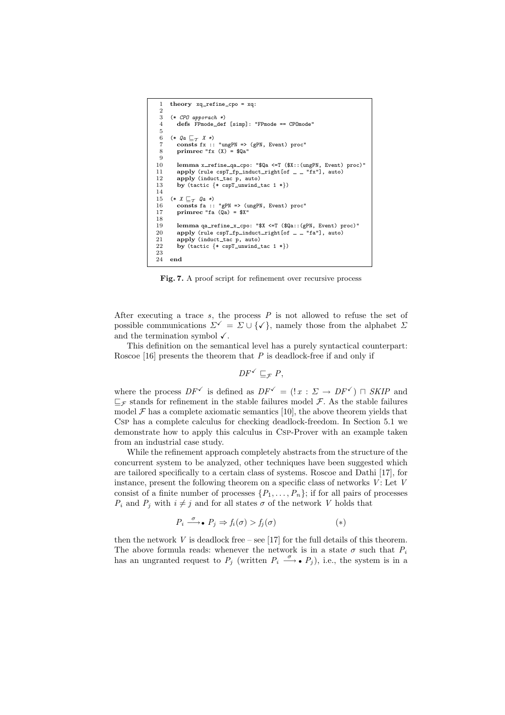```
theory xq_refine_cpo = xq:
 \Omega3 (* CPO apporach *)
4 defs FPmode def [simp]: "FPmode == CPOmode"
 \begin{array}{c} 5 \\ 6 \end{array}6 (* Qa \sqsubseteq_{\mathcal{T}} X *)<br>7 consts fx :: "ungPN => (gPN, Event) proc"
 8 primrec "fx (X) = Qa''\frac{9}{10}10 lemma x_refine_qa_cpo: "$Qa <=T ($X::(ungPN, Event) proc)'<br>11 apply (rule cspT_fp_induct_right[of _ _ "fx"], auto)
11 apply (rule cspT_fp_induct_right[of - "fx"], auto)<br>12 apply (induct_tac p, auto)
12 apply (induct tac p, auto)<br>13 by (tactic \{*\text{ c}snT unwind)
           by (tactic \{ * \text{ cspT\_unwind\_tac } 1 * \})
14
15 (* \tX \sqsubseteq_T \text{Qa} *)<br>16 consts fa :: "gPN => (ungPN, Event) proc"
17 primrec "fa (Qa) = $x"
\begin{array}{c} 18 \\ 19 \end{array}19 lemma qa refine x cpo: "X \le T (Qa::(gPN, Event) proc)"<br>20 apply (rule cap) for induct right of "fa"] auto)
20 apply (rule cspT_fp_induct_right[of = -["fa"], auto)<br>21 apply (induct tac p. auto)
21 apply (induct_tac p, auto)<br>22 by (tactic {* cspT_unwind_tac 1 *})
\frac{23}{24}end
```
Fig. 7. A proof script for refinement over recursive process

After executing a trace  $s$ , the process  $P$  is not allowed to refuse the set of possible communications  $\Sigma^{\checkmark} = \Sigma \cup {\checkmark}$ , namely those from the alphabet  $\Sigma$ and the termination symbol  $\checkmark$ .

This definition on the semantical level has a purely syntactical counterpart: Roscoe [16] presents the theorem that  $P$  is deadlock-free if and only if

$$
DF^{\checkmark} \sqsubseteq_{\mathcal{F}} P,
$$

where the process  $DF^{\checkmark}$  is defined as  $DF^{\checkmark} = (x : \Sigma \to DF^{\checkmark}) \sqcap SKIP$  and  $\sqsubseteq_{\mathcal{F}}$  stands for refinement in the stable failures model  $\mathcal{F}$ . As the stable failures model  $\mathcal F$  has a complete axiomatic semantics [10], the above theorem yields that Csp has a complete calculus for checking deadlock-freedom. In Section 5.1 we demonstrate how to apply this calculus in Csp-Prover with an example taken from an industrial case study.

While the refinement approach completely abstracts from the structure of the concurrent system to be analyzed, other techniques have been suggested which are tailored specifically to a certain class of systems. Roscoe and Dathi [17], for instance, present the following theorem on a specific class of networks  $V$ : Let  $V$ consist of a finite number of processes  $\{P_1, \ldots, P_n\}$ ; if for all pairs of processes  $P_i$  and  $P_j$  with  $i \neq j$  and for all states  $\sigma$  of the network V holds that

$$
P_i \xrightarrow{\sigma} P_j \Rightarrow f_i(\sigma) > f_j(\sigma) \tag{*}
$$

then the network  $V$  is deadlock free – see [17] for the full details of this theorem. The above formula reads: whenever the network is in a state  $\sigma$  such that  $P_i$ has an ungranted request to  $P_j$  (written  $P_i \stackrel{\sigma}{\longrightarrow} \bullet P_j$ ), i.e., the system is in a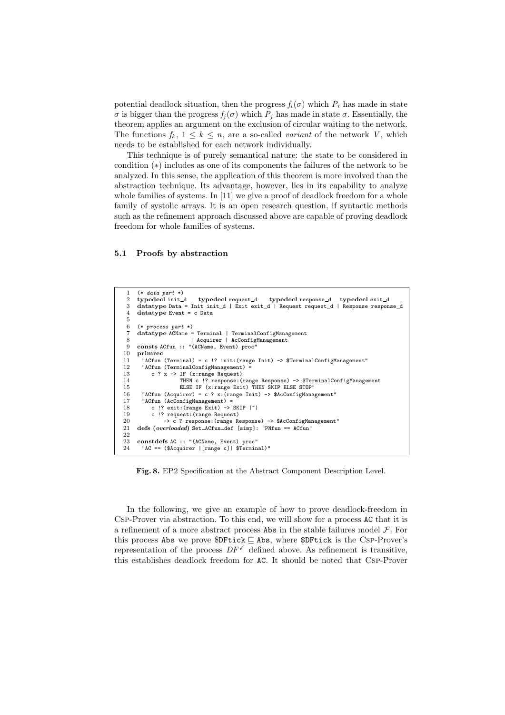potential deadlock situation, then the progress  $f_i(\sigma)$  which  $P_i$  has made in state σ is bigger than the progress  $f_j(σ)$  which  $P_j$  has made in state  $σ$ . Essentially, the theorem applies an argument on the exclusion of circular waiting to the network. The functions  $f_k$ ,  $1 \leq k \leq n$ , are a so-called variant of the network V, which needs to be established for each network individually.

This technique is of purely semantical nature: the state to be considered in condition (∗) includes as one of its components the failures of the network to be analyzed. In this sense, the application of this theorem is more involved than the abstraction technique. Its advantage, however, lies in its capability to analyze whole families of systems. In [11] we give a proof of deadlock freedom for a whole family of systolic arrays. It is an open research question, if syntactic methods such as the refinement approach discussed above are capable of proving deadlock freedom for whole families of systems.

#### 5.1 Proofs by abstraction

```
1 (* data part *)<br>2 typedeclinit_d
                                    typedecl request_d typedecl response_d typedecl exit_d
 3 datatype Data = Init init_d | Exit exit_d | Request request_d | Response response_d
 4 datatype Event = c Data
 5
 6 (* process part *)
 7 datatype ACName = Terminal | TerminalConfigManagement
 8 | Acquirer | AcConfigManagement<br>9 consts ACfun :: "(ACName. Event) proc"
9 consts ACfun :: "(ACName, Event) proc<sup>1</sup><br>10 primrec
10 primrec<br>11 "ACfun
11 "ACfun (Terminal) = c !? init:(range Init) -> $TerminalConfigManagement'<br>12 "ACfun (TerminalConfigManagement) =
12 "ACfun (TerminalConfigManagement) =<br>13 c ? x -> IF (x:range Request)
13 c ? x -> IF (x:range Request)<br>14 THEN c !? response:
14 THEN c !? response: (range Response) -> $TerminalConfigManagement<br>15 ELSE IF (x:range Exit) THEN SKIP ELSE STOP"
15 ELSE IF (x:range Exit) THEN SKIP ELSE STOP"<br>16 "ACfun (Acquirer) = c ? x: (range Init) -> $AcConfigMana
         "ACfun (Acquirer) = c ? x:(\text{rangeInit}) -> $AcConfigManagement"
17 "ACfun (AcConfigManagement) =<br>18 c !? exit: (range Exit) ->
18 c !? exit:(range Exit) -> SKIP |<sup>-</sup>|<br>19 c !? request:(range Request)
19 c !? request:(range Request)<br>
20 -> c ? response:(range R<br>
21 defs (overloaded) Set_ACfun_def [
20 -> c ? response:(range Response) -> $AcConfigManagement"<br>21 defs (overloaded) Set_ACfun_def [simp]: "PNfun == ACfun"
\frac{22}{23}23 constdefs AC :: "(ACName, Event) proc'<br>24 "AC == ($Acquirer | [range c] | $Termin
         "AC == ($Acquirer |[range c]| $Terminal)"
```
Fig. 8. EP2 Specification at the Abstract Component Description Level.

In the following, we give an example of how to prove deadlock-freedom in Csp-Prover via abstraction. To this end, we will show for a process AC that it is a refinement of a more abstract process Abs in the stable failures model  $\mathcal{F}$ . For this process Abs we prove  $DFtick \subseteq Abs$ , where  $DFtick$  is the Csp-Prover's representation of the process  $DF^{\checkmark}$  defined above. As refinement is transitive, this establishes deadlock freedom for AC. It should be noted that Csp-Prover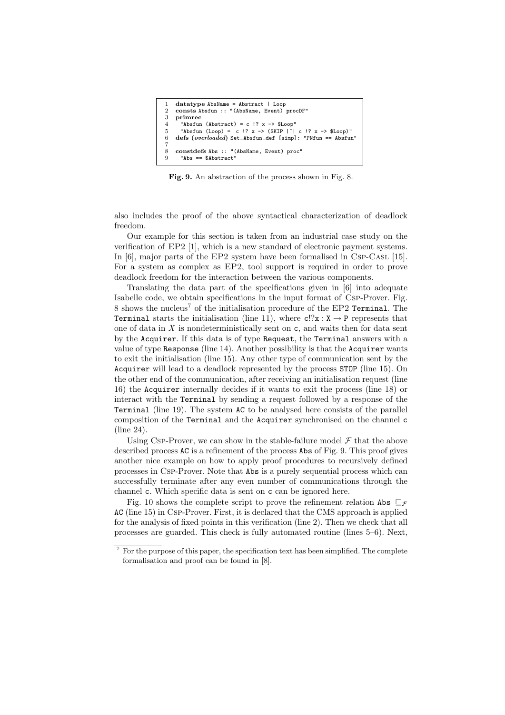```
1 datatype AbsName = Abstract | Loop<br>2 consts Absfun :: "(AbsName Event)
    2 consts Absfun :: "(AbsName, Event) procDF"
\frac{3}{4} primrec
4 "Absfun (Abstract) = c ?x -> $Loop<br>5 "Absfun (Loop) = c ?x -> (SKIP)
5 "Absfun (Loop) = c !? x \rightarrow (SKIP |\cdot| c !? x \rightarrow $Loop)"<br>6 defs (overloaded) Set_Absfun_def [simp]: "PNfun == Absfu
    6 defs (overloaded) Set Absfun def [simp]: "PNfun == Absfun"
7
8 constdefs Abs :: "(AbsName, Event) proc"
9 "Abs == $Abstract"
```
Fig. 9. An abstraction of the process shown in Fig. 8.

also includes the proof of the above syntactical characterization of deadlock freedom.

Our example for this section is taken from an industrial case study on the verification of EP2 [1], which is a new standard of electronic payment systems. In [6], major parts of the EP2 system have been formalised in Csp-Casl [15]. For a system as complex as EP2, tool support is required in order to prove deadlock freedom for the interaction between the various components.

Translating the data part of the specifications given in [6] into adequate Isabelle code, we obtain specifications in the input format of Csp-Prover. Fig. 8 shows the nucleus<sup>7</sup> of the initialisation procedure of the EP2 Terminal. The **Terminal** starts the initialisation (line 11), where  $c!/x : X \rightarrow P$  represents that one of data in  $X$  is nondeterministically sent on  $c$ , and waits then for data sent by the Acquirer. If this data is of type Request, the Terminal answers with a value of type Response (line 14). Another possibility is that the Acquirer wants to exit the initialisation (line 15). Any other type of communication sent by the Acquirer will lead to a deadlock represented by the process STOP (line 15). On the other end of the communication, after receiving an initialisation request (line 16) the Acquirer internally decides if it wants to exit the process (line 18) or interact with the Terminal by sending a request followed by a response of the Terminal (line 19). The system AC to be analysed here consists of the parallel composition of the Terminal and the Acquirer synchronised on the channel c (line 24).

Using Csp-Prover, we can show in the stable-failure model  $\mathcal F$  that the above described process AC is a refinement of the process Abs of Fig. 9. This proof gives another nice example on how to apply proof procedures to recursively defined processes in Csp-Prover. Note that Abs is a purely sequential process which can successfully terminate after any even number of communications through the channel c. Which specific data is sent on c can be ignored here.

Fig. 10 shows the complete script to prove the refinement relation Abs  $\sqsubseteq_{\mathcal{F}}$ AC (line 15) in Csp-Prover. First, it is declared that the CMS approach is applied for the analysis of fixed points in this verification (line 2). Then we check that all processes are guarded. This check is fully automated routine (lines 5–6). Next,

<sup>7</sup> For the purpose of this paper, the specification text has been simplified. The complete formalisation and proof can be found in [8].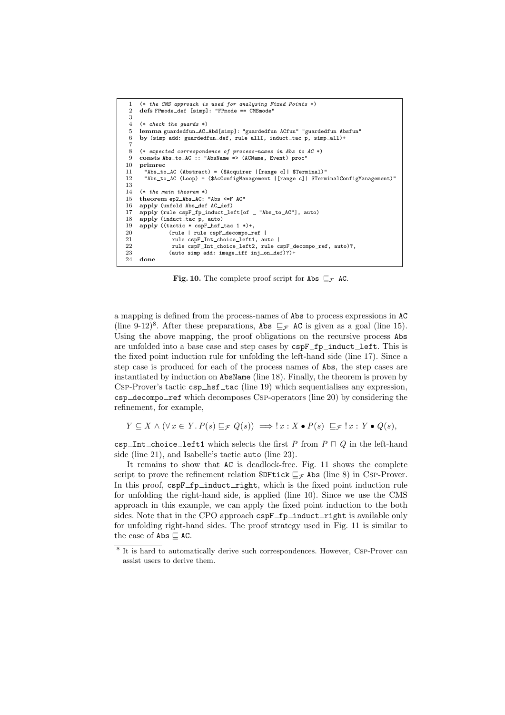```
1 (* the CMS approach is used for analysing Fixed Points *)<br>2 defs FPmode def [simp]: "FPmode == CMSmode"
      2 defs FPmode def [simp]: "FPmode == CMSmode"
 \frac{3}{4}4 (* check the guards *)<br>5 lemma guardedfun AC
 5 lemma guardedfun AC Abd[simp]: "guardedfun ACfun" "guardedfun Absfun"<br>6 by (simp add: guardedfun def, rule allI, induct tac p, simp all)+
      by (simp add: guardedfun_def, rule allI, induct_tac p, simp_all)+
  7
 8 (* expected correspondence of process-names in Abs to AC *)
9 consts Abs_to_AC :: "AbsName => (ACName, Event) proc"<br>10 primrec
10 primrec<br>11 "Abs_to
11 "Abs_to_AC (Abstract) = ($Acquirer | [range c] | $Terminal)"<br>12 "Abs_to_AC (Loop) = ($AcConfigManagement | [range c] | $Term
        "Abs_to_AC (Loop) = ($AcConfigManagement | [range c] | $TerminalConfigManagement)'
\frac{13}{14}14 (* the main theorem *)<br>15 theorem en? Abs AC:theorem ep2_{Abs\_AC}: "Abs \leqF AC"
16 apply (unfold Abs def AC def)
17 apply (rule cspF_fp_induct_left[of _ "Abs_to_AC"], auto)<br>18 apply (induct_tac p, auto)
18 apply (induct_tac p, auto)<br>19 apply ((tactic * cspF_hsf_
19 apply ((tactic * cspF hsf tac 1 *)+,<br>20 (rule | rule cspF decompo r
20 (rule | rule cspF_decompo_ref |<br>21 mule cspF Int choice left1, approximately
                     rule cspF_Int_choice_left1, auto |
22 rule cspF_Int_choice_left2, rule cspF_decompo_ref, auto)?,<br>23 (auto simp add: image iff ini on def)?)+
23 (auto simp add: image_iff inj_on_def)?)+<br>24 done
      done
```
Fig. 10. The complete proof script for Abs  $\sqsubseteq_{\mathcal{F}}$  AC.

a mapping is defined from the process-names of Abs to process expressions in AC (line 9-12)<sup>8</sup>. After these preparations, Abs  $\sqsubseteq_{\mathcal{F}}$  AC is given as a goal (line 15). Using the above mapping, the proof obligations on the recursive process Abs are unfolded into a base case and step cases by cspF\_fp\_induct\_left. This is the fixed point induction rule for unfolding the left-hand side (line 17). Since a step case is produced for each of the process names of Abs, the step cases are instantiated by induction on AbsName (line 18). Finally, the theorem is proven by CSP-Prover's tactic  $csp\_hsf\_tac$  (line 19) which sequentialises any expression,  $\texttt{csp\_decompo\_ref}$  which decomposes Csp-operators (line 20) by considering the refinement, for example,

 $Y \subseteq X \wedge (\forall x \in Y. P(s) \sqsubseteq_{\mathcal{F}} Q(s)) \implies x : X \bullet P(s) \sqsubseteq_{\mathcal{F}} x : Y \bullet Q(s),$ 

csp Int choice left1 which selects the first P from  $P \sqcap Q$  in the left-hand side (line 21), and Isabelle's tactic auto (line 23).

It remains to show that AC is deadlock-free. Fig. 11 shows the complete script to prove the refinement relation  $DF$ tick  $\sqsubseteq_{\mathcal{F}}$  Abs (line 8) in Csp-Prover. In this proof,  $cspF_f$  induct right, which is the fixed point induction rule for unfolding the right-hand side, is applied (line 10). Since we use the CMS approach in this example, we can apply the fixed point induction to the both sides. Note that in the CPO approach cspF\_fp\_induct\_right is available only for unfolding right-hand sides. The proof strategy used in Fig. 11 is similar to the case of  $\mathsf{Abs} \sqsubseteq \mathsf{AC}.$ 

<sup>&</sup>lt;sup>8</sup> It is hard to automatically derive such correspondences. However, Csp-Prover can assist users to derive them.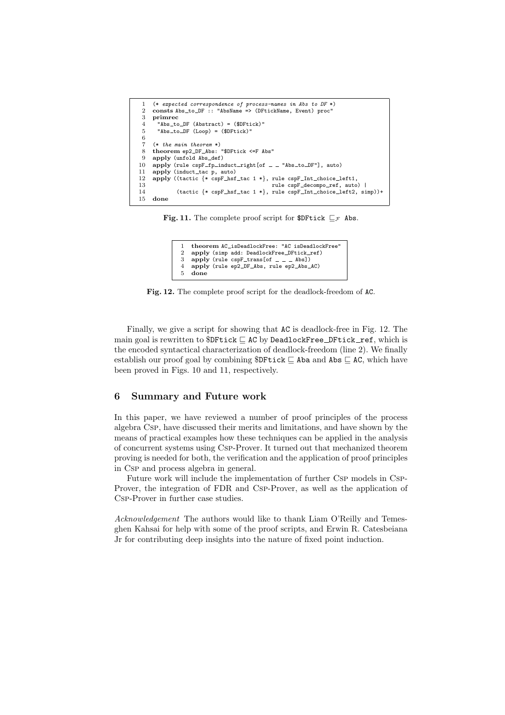|        | (* expected correspondence of process-names in Abs to DF *)                                    |
|--------|------------------------------------------------------------------------------------------------|
| $^{2}$ | consts Abs_to_DF :: "AbsName => (DFtickName, Event) proc"                                      |
| 3      | primrec                                                                                        |
| 4      | "Abs_to_DF (Abstract) = $$DFtick$ )"                                                           |
| 5      | "Abs_to_DF (Loop) = (\$DFtick)"                                                                |
| 6      |                                                                                                |
|        | $(* the main theorem *)$                                                                       |
| 8      | theorem ep2_DF_Abs: "\$DFtick <=F Abs"                                                         |
| 9      | apply (unfold Abs_def)                                                                         |
| 10     | apply (rule $\text{cspF\_fp\_induct\_right[of \_ = "Abs\_to\_DF"]$ , auto)                     |
| 11     | apply (induct_tac p, auto)                                                                     |
| 12     | apply ((tactic $\{* \text{ cspF\_hsf\_tac } 1 * \}$ , rule cspF $\text{__Int\_choice\_left1},$ |
| 13     | rule cspF_decompo_ref, auto)                                                                   |
| 14     | $(tactic \{ * cspF_hsf_tac 1 * }$ , rule $cspF_Int_choice_let2, simp)$ +                       |
| 15.    | done                                                                                           |

Fig. 11. The complete proof script for \$DFtick  $\sqsubseteq_{\mathcal{F}}$  Abs.

```
theorem AC_isDeadlockFree: "AC isDeadlockFree"
2 apply (simp add: DeadlockFree_DFtick_ref)<br>3 apply (rule cspF_trans[of = = = Abs])
3 apply (rule cspF_trans[of \angle \angle Abs])<br>4 apply (rule ep2 DF Abs, rule ep2 Abs)
4 apply (rule ep2 DF Abs, rule ep2 Abs AC)
     done
```
Fig. 12. The complete proof script for the deadlock-freedom of AC.

Finally, we give a script for showing that AC is deadlock-free in Fig. 12. The main goal is rewritten to  $DF$ tick  $C$  AC by DeadlockFree  $DF$ tick ref, which is the encoded syntactical characterization of deadlock-freedom (line 2). We finally establish our proof goal by combining  $DF$ tick  $\subseteq$  Aba and Abs  $\subseteq$  AC, which have been proved in Figs. 10 and 11, respectively.

# 6 Summary and Future work

In this paper, we have reviewed a number of proof principles of the process algebra Csp, have discussed their merits and limitations, and have shown by the means of practical examples how these techniques can be applied in the analysis of concurrent systems using Csp-Prover. It turned out that mechanized theorem proving is needed for both, the verification and the application of proof principles in Csp and process algebra in general.

Future work will include the implementation of further Csp models in Csp-Prover, the integration of FDR and Csp-Prover, as well as the application of Csp-Prover in further case studies.

Acknowledgement The authors would like to thank Liam O'Reilly and Temesghen Kahsai for help with some of the proof scripts, and Erwin R. Catesbeiana Jr for contributing deep insights into the nature of fixed point induction.